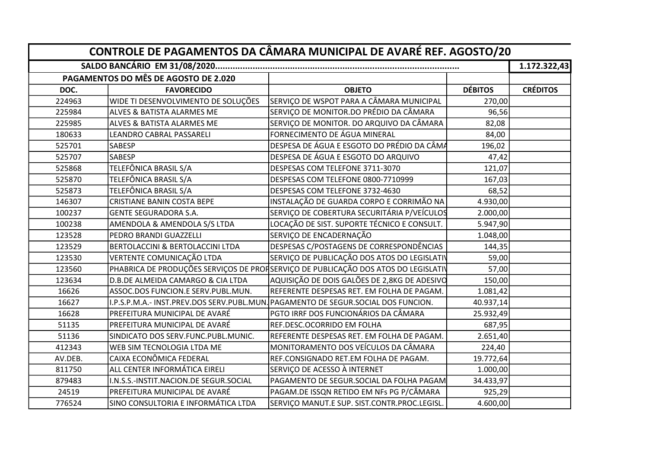|         | CONTROLE DE PAGAMENTOS DA CÂMARA MUNICIPAL DE AVARÉ REF. AGOSTO/20 |                                                                                    |                |                 |  |  |  |  |
|---------|--------------------------------------------------------------------|------------------------------------------------------------------------------------|----------------|-----------------|--|--|--|--|
|         |                                                                    |                                                                                    |                |                 |  |  |  |  |
|         | PAGAMENTOS DO MÊS DE AGOSTO DE 2.020                               |                                                                                    |                |                 |  |  |  |  |
| DOC.    | <b>FAVORECIDO</b>                                                  | <b>OBJETO</b>                                                                      | <b>DÉBITOS</b> | <b>CRÉDITOS</b> |  |  |  |  |
| 224963  | WIDE TI DESENVOLVIMENTO DE SOLUÇÕES                                | SERVIÇO DE WSPOT PARA A CÂMARA MUNICIPAL                                           | 270,00         |                 |  |  |  |  |
| 225984  | <b>ALVES &amp; BATISTA ALARMES ME</b>                              | SERVIÇO DE MONITOR.DO PRÉDIO DA CÂMARA                                             | 96,56          |                 |  |  |  |  |
| 225985  | ALVES & BATISTA ALARMES ME                                         | SERVIÇO DE MONITOR. DO ARQUIVO DA CÂMARA                                           | 82,08          |                 |  |  |  |  |
| 180633  | LEANDRO CABRAL PASSARELI                                           | FORNECIMENTO DE ÁGUA MINERAL                                                       | 84,00          |                 |  |  |  |  |
| 525701  | <b>SABESP</b>                                                      | DESPESA DE ÁGUA E ESGOTO DO PRÉDIO DA CÂMA                                         | 196,02         |                 |  |  |  |  |
| 525707  | SABESP                                                             | DESPESA DE ÁGUA E ESGOTO DO ARQUIVO                                                | 47,42          |                 |  |  |  |  |
| 525868  | TELEFÔNICA BRASIL S/A                                              | DESPESAS COM TELEFONE 3711-3070                                                    | 121,07         |                 |  |  |  |  |
| 525870  | TELEFÔNICA BRASIL S/A                                              | DESPESAS COM TELEFONE 0800-7710999                                                 | 167,03         |                 |  |  |  |  |
| 525873  | TELEFÔNICA BRASIL S/A                                              | DESPESAS COM TELEFONE 3732-4630                                                    | 68,52          |                 |  |  |  |  |
| 146307  | <b>CRISTIANE BANIN COSTA BEPE</b>                                  | INSTALAÇÃO DE GUARDA CORPO E CORRIMÃO NA                                           | 4.930,00       |                 |  |  |  |  |
| 100237  | <b>GENTE SEGURADORA S.A.</b>                                       | SERVIÇO DE COBERTURA SECURITÁRIA P/VEÍCULOS                                        | 2.000,00       |                 |  |  |  |  |
| 100238  | AMENDOLA & AMENDOLA S/S LTDA                                       | LOCAÇÃO DE SIST. SUPORTE TÉCNICO E CONSULT.                                        | 5.947,90       |                 |  |  |  |  |
| 123528  | PEDRO BRANDI GUAZZELLI                                             | SERVIÇO DE ENCADERNAÇÃO                                                            | 1.048,00       |                 |  |  |  |  |
| 123529  | <b>BERTOLACCINI &amp; BERTOLACCINI LTDA</b>                        | DESPESAS C/POSTAGENS DE CORRESPONDÊNCIAS                                           | 144,35         |                 |  |  |  |  |
| 123530  | VERTENTE COMUNICAÇÃO LTDA                                          | SERVIÇO DE PUBLICAÇÃO DOS ATOS DO LEGISLATIV                                       | 59,00          |                 |  |  |  |  |
| 123560  |                                                                    | PHABRICA DE PRODUÇÕES SERVIÇOS DE PROFSERVIÇO DE PUBLICAÇÃO DOS ATOS DO LEGISLATIV | 57,00          |                 |  |  |  |  |
| 123634  | D.B.DE ALMEIDA CAMARGO & CIA LTDA                                  | AQUISIÇÃO DE DOIS GALÕES DE 2,8KG DE ADESIVO                                       | 150,00         |                 |  |  |  |  |
| 16626   | ASSOC.DOS FUNCION.E SERV.PUBL.MUN.                                 | REFERENTE DESPESAS RET. EM FOLHA DE PAGAM.                                         | 1.081,42       |                 |  |  |  |  |
| 16627   |                                                                    | I.P.S.P.M.A.- INST.PREV.DOS SERV.PUBL.MUN. PAGAMENTO DE SEGUR.SOCIAL DOS FUNCION.  | 40.937,14      |                 |  |  |  |  |
| 16628   | PREFEITURA MUNICIPAL DE AVARÉ                                      | PGTO IRRF DOS FUNCIONÁRIOS DA CÂMARA                                               | 25.932,49      |                 |  |  |  |  |
| 51135   | PREFEITURA MUNICIPAL DE AVARÉ                                      | REF.DESC.OCORRIDO EM FOLHA                                                         | 687,95         |                 |  |  |  |  |
| 51136   | SINDICATO DOS SERV.FUNC.PUBL.MUNIC.                                | REFERENTE DESPESAS RET. EM FOLHA DE PAGAM.                                         | 2.651,40       |                 |  |  |  |  |
| 412343  | WEB SIM TECNOLOGIA LTDA ME                                         | MONITORAMENTO DOS VEÍCULOS DA CÂMARA                                               | 224,40         |                 |  |  |  |  |
| AV.DEB. | CAIXA ECONÔMICA FEDERAL                                            | REF.CONSIGNADO RET.EM FOLHA DE PAGAM.                                              | 19.772,64      |                 |  |  |  |  |
| 811750  | ALL CENTER INFORMÁTICA EIRELI                                      | SERVIÇO DE ACESSO À INTERNET                                                       | 1.000,00       |                 |  |  |  |  |
| 879483  | I.N.S.S.-INSTIT.NACION.DE SEGUR.SOCIAL                             | PAGAMENTO DE SEGUR. SOCIAL DA FOLHA PAGAM                                          | 34.433,97      |                 |  |  |  |  |
| 24519   | PREFEITURA MUNICIPAL DE AVARÉ                                      | PAGAM.DE ISSQN RETIDO EM NFs PG P/CÂMARA                                           | 925,29         |                 |  |  |  |  |
| 776524  | SINO CONSULTORIA E INFORMÁTICA LTDA                                | SERVIÇO MANUT.E SUP. SIST.CONTR.PROC.LEGISL.                                       | 4.600,00       |                 |  |  |  |  |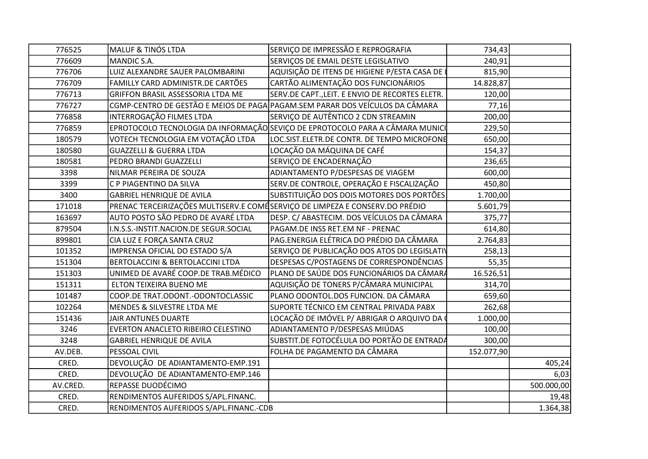| 776525   | <b>MALUF &amp; TINÓS LTDA</b>                                                | SERVIÇO DE IMPRESSÃO E REPROGRAFIA                                            | 734,43     |            |
|----------|------------------------------------------------------------------------------|-------------------------------------------------------------------------------|------------|------------|
| 776609   | MANDIC S.A.                                                                  | SERVIÇOS DE EMAIL DESTE LEGISLATIVO                                           | 240,91     |            |
| 776706   | LUIZ ALEXANDRE SAUER PALOMBARINI                                             | AQUISIÇÃO DE ITENS DE HIGIENE P/ESTA CASA DE                                  | 815,90     |            |
| 776709   | FAMILLY CARD ADMINISTR.DE CARTÕES                                            | CARTÃO ALIMENTAÇÃO DOS FUNCIONÁRIOS                                           | 14.828,87  |            |
| 776713   | GRIFFON BRASIL ASSESSORIA LTDA ME                                            | SERV.DE CAPT., LEIT. E ENVIO DE RECORTES ELETR.                               | 120,00     |            |
| 776727   |                                                                              | CGMP-CENTRO DE GESTÃO E MEIOS DE PAGA PAGAM. SEM PARAR DOS VEÍCULOS DA CÂMARA | 77,16      |            |
| 776858   | INTERROGAÇÃO FILMES LTDA                                                     | SERVIÇO DE AUTÊNTICO 2 CDN STREAMIN                                           | 200,00     |            |
| 776859   |                                                                              | EPROTOCOLO TECNOLOGIA DA INFORMAÇÃO SEVIÇO DE EPROTOCOLO PARA A CÂMARA MUNICI | 229,50     |            |
| 180579   | VOTECH TECNOLOGIA EM VOTAÇÃO LTDA                                            | LOC.SIST.ELETR.DE CONTR. DE TEMPO MICROFONE                                   | 650,00     |            |
| 180580   | <b>GUAZZELLI &amp; GUERRA LTDA</b>                                           | LOCAÇÃO DA MÁQUINA DE CAFÉ                                                    | 154,37     |            |
| 180581   | PEDRO BRANDI GUAZZELLI                                                       | SERVIÇO DE ENCADERNAÇÃO                                                       | 236,65     |            |
| 3398     | NILMAR PEREIRA DE SOUZA                                                      | ADIANTAMENTO P/DESPESAS DE VIAGEM                                             | 600,00     |            |
| 3399     | C P PIAGENTINO DA SILVA                                                      | SERV.DE CONTROLE, OPERAÇÃO E FISCALIZAÇÃO                                     | 450,80     |            |
| 3400     | <b>GABRIEL HENRIQUE DE AVILA</b>                                             | SUBSTITUIÇÃO DOS DOIS MOTORES DOS PORTÕES                                     | 1.700,00   |            |
| 171018   | PRENAC TERCEIRIZAÇÕES MULTISERV.E COMÉSERVIÇO DE LIMPEZA E CONSERV.DO PRÉDIO |                                                                               | 5.601,79   |            |
| 163697   | AUTO POSTO SÃO PEDRO DE AVARÉ LTDA                                           | DESP. C/ ABASTECIM. DOS VEÍCULOS DA CÂMARA                                    | 375,77     |            |
| 879504   | I.N.S.S.-INSTIT.NACION.DE SEGUR.SOCIAL                                       | PAGAM.DE INSS RET.EM NF - PRENAC                                              | 614,80     |            |
| 899801   | CIA LUZ E FORÇA SANTA CRUZ                                                   | PAG.ENERGIA ELÉTRICA DO PRÉDIO DA CÂMARA                                      | 2.764,83   |            |
| 101352   | IMPRENSA OFICIAL DO ESTADO S/A                                               | SERVIÇO DE PUBLICAÇÃO DOS ATOS DO LEGISLATIV                                  | 258,13     |            |
| 151304   | BERTOLACCINI & BERTOLACCINI LTDA                                             | DESPESAS C/POSTAGENS DE CORRESPONDÊNCIAS                                      | 55,35      |            |
| 151303   | UNIMED DE AVARÉ COOP.DE TRAB.MÉDICO                                          | PLANO DE SAÚDE DOS FUNCIONÁRIOS DA CÂMARA                                     | 16.526,51  |            |
| 151311   | ELTON TEIXEIRA BUENO ME                                                      | AQUISIÇÃO DE TONERS P/CÂMARA MUNICIPAL                                        | 314,70     |            |
| 101487   | COOP.DE TRAT.ODONT.-ODONTOCLASSIC                                            | PLANO ODONTOL.DOS FUNCION. DA CÂMARA                                          | 659,60     |            |
| 102264   | MENDES & SILVESTRE LTDA ME                                                   | SUPORTE TÉCNICO EM CENTRAL PRIVADA PABX                                       | 262,68     |            |
| 151436   | <b>JAIR ANTUNES DUARTE</b>                                                   | LOCAÇÃO DE IMÓVEL P/ ABRIGAR O ARQUIVO DA (                                   | 1.000,00   |            |
| 3246     | EVERTON ANACLETO RIBEIRO CELESTINO                                           | ADIANTAMENTO P/DESPESAS MIÚDAS                                                | 100,00     |            |
| 3248     | <b>GABRIEL HENRIQUE DE AVILA</b>                                             | SUBSTIT.DE FOTOCÉLULA DO PORTÃO DE ENTRADA                                    | 300,00     |            |
| AV.DEB.  | PESSOAL CIVIL                                                                | FOLHA DE PAGAMENTO DA CÂMARA                                                  | 152.077,90 |            |
| CRED.    | DEVOLUÇÃO DE ADIANTAMENTO-EMP.191                                            |                                                                               |            | 405,24     |
| CRED.    | DEVOLUÇÃO DE ADIANTAMENTO-EMP.146                                            |                                                                               |            | 6,03       |
| AV.CRED. | REPASSE DUODÉCIMO                                                            |                                                                               |            | 500.000,00 |
| CRED.    | RENDIMENTOS AUFERIDOS S/APL.FINANC.                                          |                                                                               |            | 19,48      |
| CRED.    | RENDIMENTOS AUFERIDOS S/APL.FINANC.-CDB                                      |                                                                               |            | 1.364,38   |